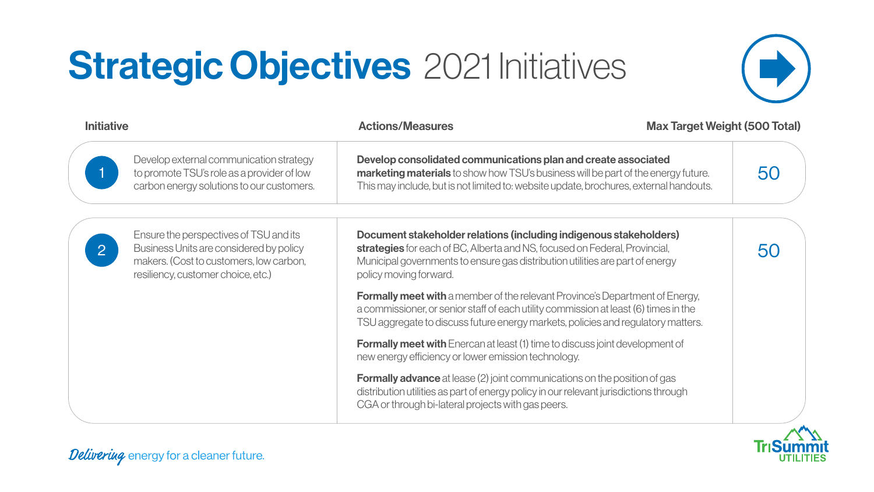| onsolidated communications plan and create associated<br><b>materials</b> to show how TSU's business will be part of the energy future.<br>clude, but is not limited to: website update, brochures, external handouts. | 50 |
|------------------------------------------------------------------------------------------------------------------------------------------------------------------------------------------------------------------------|----|
|                                                                                                                                                                                                                        |    |

50

# **Strategic Objectives** 2021 Initiatives

## 1 2 Initiative Max Target Weight (500 Total) Develop external communication strategy to promote TSU's role as a provider of low carbon energy solutions to our customers. Ensure the perspectives of TSU and its Business Units are considered by policy makers. (Cost to customers, low carbon, resiliency, customer choice, etc.) Develop co marketing This may inc policy moving forward.

Delivering energy for a cleaner future.



**Formally meet with** a member of the relevant Province's Department of Energy, a commissioner, or senior staff of each utility commission at least (6) times in the TSU aggregate to discuss future energy markets, policies and regulatory matters.

**Formally meet with** Enercan at least (1) time to discuss joint development of new energy efficiency or lower emission technology.

**Formally advance** at lease (2) joint communications on the position of gas distribution utilities as part of energy policy in our relevant jurisdictions through CGA or through bi-lateral projects with gas peers.

> **TriSummı**' **UTILITIES**



Document stakeholder relations (including indigenous stakeholders) strategies for each of BC, Alberta and NS, focused on Federal, Provincial, Municipal governments to ensure gas distribution utilities are part of energy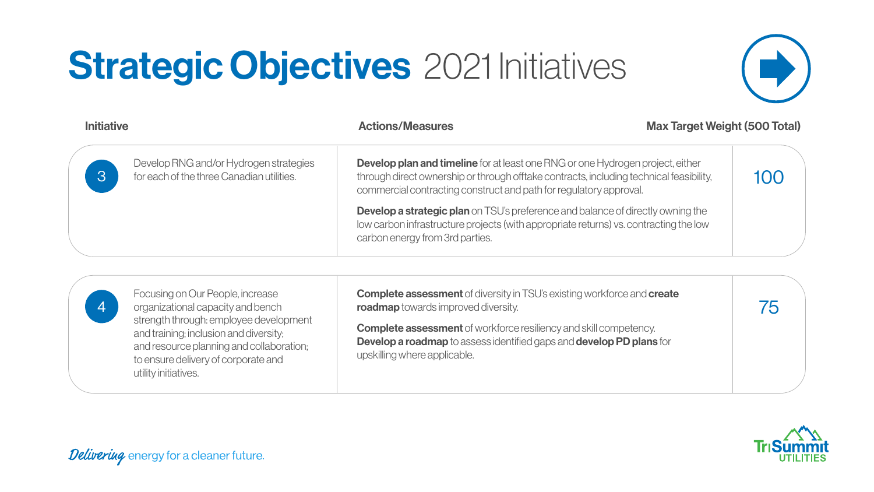| <b>Develop plan and timeline</b> for at least one RNG or one Hydrogen project, either<br>through direct ownership or through offtake contracts, including technical feasibility,<br>commercial contracting construct and path for regulatory approval. | 100 |
|--------------------------------------------------------------------------------------------------------------------------------------------------------------------------------------------------------------------------------------------------------|-----|
| <b>Develop a strategic plan</b> on TSU's preference and balance of directly owning the<br>low carbon infrastructure projects (with appropriate returns) vs. contracting the low<br>carbon energy from 3rd parties.                                     |     |

4 Focusing on Our People, increase organizational capacity and bench strength through: employee development and training; inclusion and diversity; and resource planning and collaboration; to ensure delivery of corporate and utility initiatives. Complete as roadmap tow Complete as Develop a ro upskilling wh

Delivering energy for a cleaner future.



## Initiative Max Target Weight (500 Total)

| <b>issessment</b> of diversity in TSU's existing workforce and <b>create</b><br>wards improved diversity.                                                      | $\sqrt{5}$ |
|----------------------------------------------------------------------------------------------------------------------------------------------------------------|------------|
| <b>issessment</b> of workforce resiliency and skill competency.<br><b>oadmap</b> to assess identified gaps and <b>develop PD plans</b> for<br>nere applicable. |            |
|                                                                                                                                                                |            |

# **Strategic Objectives** 2021 Initiatives





Develop RNG and/or Hydrogen strategies for each of the three Canadian utilities.